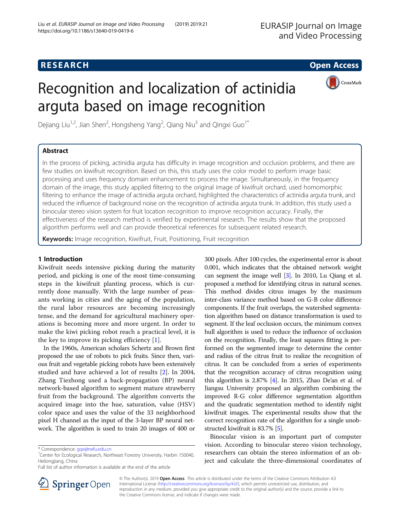## **RESEARCH CHE Open Access**



# Recognition and localization of actinidia arguta based on image recognition

Dejiang Liu<sup>1,2</sup>, Jian Shen<sup>2</sup>, Hongsheng Yang<sup>2</sup>, Qiang Niu<sup>3</sup> and Qingxi Guo<sup>1\*</sup>

#### Abstract

In the process of picking, actinidia arguta has difficulty in image recognition and occlusion problems, and there are few studies on kiwifruit recognition. Based on this, this study uses the color model to perform image basic processing and uses frequency domain enhancement to process the image. Simultaneously, in the frequency domain of the image, this study applied filtering to the original image of kiwifruit orchard, used homomorphic filtering to enhance the image of actinidia arguta orchard, highlighted the characteristics of actinidia arguta trunk, and reduced the influence of background noise on the recognition of actinidia arguta trunk. In addition, this study used a binocular stereo vision system for fruit location recognition to improve recognition accuracy. Finally, the effectiveness of the research method is verified by experimental research. The results show that the proposed algorithm performs well and can provide theoretical references for subsequent related research.

Keywords: Image recognition, Kiwifruit, Fruit, Positioning, Fruit recognition

#### 1 Introduction

Kiwifruit needs intensive picking during the maturity period, and picking is one of the most time-consuming steps in the kiwifruit planting process, which is currently done manually. With the large number of peasants working in cities and the aging of the population, the rural labor resources are becoming increasingly tense, and the demand for agricultural machinery operations is becoming more and more urgent. In order to make the kiwi picking robot reach a practical level, it is the key to improve its picking efficiency [[1\]](#page-7-0).

In the 1960s, American scholars Schertz and Brown first proposed the use of robots to pick fruits. Since then, various fruit and vegetable picking robots have been extensively studied and have achieved a lot of results [[2\]](#page-7-0). In 2004, Zhang Tiezhong used a back-propagation (BP) neural network-based algorithm to segment mature strawberry fruit from the background. The algorithm converts the acquired image into the hue, saturation, value (HSV) color space and uses the value of the 33 neighborhood pixel H channel as the input of the 3-layer BP neural network. The algorithm is used to train 20 images of 400 or

300 pixels. After 100 cycles, the experimental error is about 0.001, which indicates that the obtained network weight can segment the image well [[3](#page-7-0)]. In 2010, Lu Qiang et al. proposed a method for identifying citrus in natural scenes. This method divides citrus images by the maximum inter-class variance method based on G-B color difference components. If the fruit overlaps, the watershed segmentation algorithm based on distance transformation is used to segment. If the leaf occlusion occurs, the minimum convex hull algorithm is used to reduce the influence of occlusion on the recognition. Finally, the least squares fitting is performed on the segmented image to determine the center and radius of the citrus fruit to realize the recognition of citrus. It can be concluded from a series of experiments that the recognition accuracy of citrus recognition using this algorithm is 2.87% [\[4\]](#page-7-0). In 2015, Zhao De'an et al. of Jiangsu University proposed an algorithm combining the improved R-G color difference segmentation algorithm and the quadratic segmentation method to identify night kiwifruit images. The experimental results show that the correct recognition rate of the algorithm for a single unobstructed kiwifruit is 83.7% [[5](#page-7-0)].

Binocular vision is an important part of computer vision. According to binocular stereo vision technology, researchers can obtain the stereo information of an object and calculate the three-dimensional coordinates of



© The Author(s). 2019 Open Access This article is distributed under the terms of the Creative Commons Attribution 4.0 International License ([http://creativecommons.org/licenses/by/4.0/\)](http://creativecommons.org/licenses/by/4.0/), which permits unrestricted use, distribution, and reproduction in any medium, provided you give appropriate credit to the original author(s) and the source, provide a link to the Creative Commons license, and indicate if changes were made.

<sup>\*</sup> Correspondence: [gqx@nefu.edu.cn](mailto:gqx@nefu.edu.cn) <sup>1</sup>

<sup>&</sup>lt;sup>1</sup> Center for Ecological Research, Northeast Forestry University, Harbin 150040, Heilongjiang, China

Full list of author information is available at the end of the article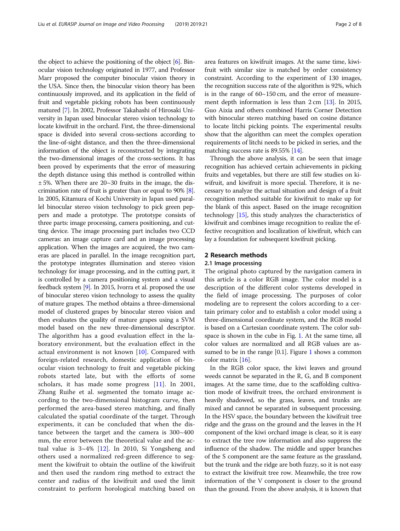the object to achieve the positioning of the object  $[6]$  $[6]$ . Binocular vision technology originated in 1977, and Professor Marr proposed the computer binocular vision theory in the USA. Since then, the binocular vision theory has been continuously improved, and its application in the field of fruit and vegetable picking robots has been continuously matured [\[7\]](#page-7-0). In 2002, Professor Takahashi of Hirosaki University in Japan used binocular stereo vision technology to locate kiwifruit in the orchard. First, the three-dimensional space is divided into several cross-sections according to the line-of-sight distance, and then the three-dimensional information of the object is reconstructed by integrating the two-dimensional images of the cross-sections. It has been proved by experiments that the error of measuring the depth distance using this method is controlled within ± 5%. When there are 20~30 fruits in the image, the discrimination rate of fruit is greater than or equal to 90% [[8](#page-7-0)]. In 2005, Kitamura of Kochi University in Japan used parallel binocular stereo vision technology to pick green peppers and made a prototype. The prototype consists of three parts: image processing, camera positioning, and cutting device. The image processing part includes two CCD cameras: an image capture card and an image processing application. When the images are acquired, the two cameras are placed in parallel. In the image recognition part, the prototype integrates illumination and stereo vision technology for image processing, and in the cutting part, it is controlled by a camera positioning system and a visual feedback system [[9\]](#page-7-0). In 2015, Ivorra et al. proposed the use of binocular stereo vision technology to assess the quality of mature grapes. The method obtains a three-dimensional model of clustered grapes by binocular stereo vision and then evaluates the quality of mature grapes using a SVM model based on the new three-dimensional descriptor. The algorithm has a good evaluation effect in the laboratory environment, but the evaluation effect in the actual environment is not known  $[10]$  $[10]$ . Compared with foreign-related research, domestic application of binocular vision technology to fruit and vegetable picking robots started late, but with the efforts of some scholars, it has made some progress [[11\]](#page-7-0). In 2001, Zhang Ruihe et al. segmented the tomato image according to the two-dimensional histogram curve, then performed the area-based stereo matching, and finally calculated the spatial coordinate of the target. Through experiments, it can be concluded that when the distance between the target and the camera is 300~400 mm, the error between the theoretical value and the actual value is  $3~4\%$  [\[12](#page-7-0)]. In 2010, Si Yongsheng and others used a normalized red-green difference to segment the kiwifruit to obtain the outline of the kiwifruit and then used the random ring method to extract the center and radius of the kiwifruit and used the limit constraint to perform horological matching based on area features on kiwifruit images. At the same time, kiwifruit with similar size is matched by order consistency constraint. According to the experiment of 130 images, the recognition success rate of the algorithm is 92%, which is in the range of 60~150 cm, and the error of measurement depth information is less than 2 cm [[13](#page-7-0)]. In 2015, Guo Aixia and others combined Harris Corner Detection with binocular stereo matching based on cosine distance to locate litchi picking points. The experimental results show that the algorithm can meet the complex operation requirements of litchi needs to be picked in series, and the matching success rate is 89.55% [\[14\]](#page-7-0).

Through the above analysis, it can be seen that image recognition has achieved certain achievements in picking fruits and vegetables, but there are still few studies on kiwifruit, and kiwifruit is more special. Therefore, it is necessary to analyze the actual situation and design of a fruit recognition method suitable for kiwifruit to make up for the blank of this aspect. Based on the image recognition technology [\[15\]](#page-7-0), this study analyzes the characteristics of kiwifruit and combines image recognition to realize the effective recognition and localization of kiwifruit, which can lay a foundation for subsequent kiwifruit picking.

#### 2 Research methods

#### 2.1 Image processing

The original photo captured by the navigation camera in this article is a color RGB image. The color model is a description of the different color systems developed in the field of image processing. The purposes of color modeling are to represent the colors according to a certain primary color and to establish a color model using a three-dimensional coordinate system, and the RGB model is based on a Cartesian coordinate system. The color subspace is shown in the cube in Fig. [1](#page-2-0). At the same time, all color values are normalized and all RGB values are assumed to be in the range  $[0.1]$  $[0.1]$  $[0.1]$ . Figure 1 shows a common color matrix [[16](#page-7-0)].

In the RGB color space, the kiwi leaves and ground weeds cannot be separated in the R, G, and B component images. At the same time, due to the scaffolding cultivation mode of kiwifruit trees, the orchard environment is heavily shadowed, so the grass, leaves, and trunks are mixed and cannot be separated in subsequent processing. In the HSV space, the boundary between the kiwifruit tree ridge and the grass on the ground and the leaves in the H component of the kiwi orchard image is clear, so it is easy to extract the tree row information and also suppress the influence of the shadow. The middle and upper branches of the S component are the same feature as the grassland, but the trunk and the ridge are both fuzzy, so it is not easy to extract the kiwifruit tree row. Meanwhile, the tree row information of the V component is closer to the ground than the ground. From the above analysis, it is known that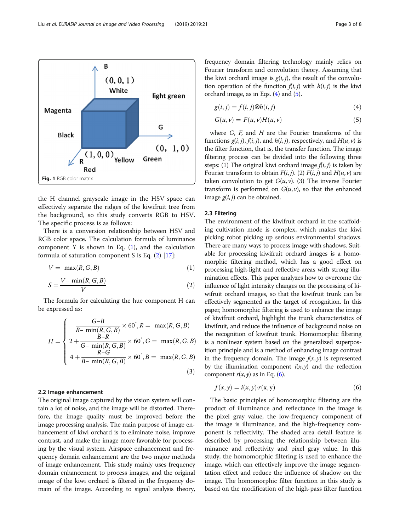<span id="page-2-0"></span>

the H channel grayscale image in the HSV space can effectively separate the ridges of the kiwifruit tree from the background, so this study converts RGB to HSV. The specific process is as follows:

There is a conversion relationship between HSV and RGB color space. The calculation formula of luminance component Y is shown in Eq.  $(1)$ , and the calculation formula of saturation component S is Eq. (2) [\[17](#page-7-0)]:

$$
V = \max(R, G, B) \tag{1}
$$

$$
S = \frac{V - \min(R, G, B)}{V} \tag{2}
$$

The formula for calculating the hue component H can be expressed as:

$$
H = \begin{cases} \frac{G-B}{R - \min(R, G, B)} \times 60^{\degree}, R = \max(R, G, B) \\ 2 + \frac{B-R}{G - \min(R, G, B)} \times 60^{\degree}, G = \max(R, G, B) \\ 4 + \frac{R-G}{B - \min(R, G, B)} \times 60^{\degree}, B = \max(R, G, B) \end{cases}
$$
(3)

#### 2.2 Image enhancement

The original image captured by the vision system will contain a lot of noise, and the image will be distorted. Therefore, the image quality must be improved before the image processing analysis. The main purpose of image enhancement of kiwi orchard is to eliminate noise, improve contrast, and make the image more favorable for processing by the visual system. Airspace enhancement and frequency domain enhancement are the two major methods of image enhancement. This study mainly uses frequency domain enhancement to process images, and the original image of the kiwi orchard is filtered in the frequency domain of the image. According to signal analysis theory, frequency domain filtering technology mainly relies on Fourier transform and convolution theory. Assuming that the kiwi orchard image is  $g(i, j)$ , the result of the convolution operation of the function  $f(i, j)$  with  $h(i, j)$  is the kiwi orchard image, as in Eqs. (4) and (5).

$$
g(i, j) = f(i, j) \otimes h(i, j)
$$
\n<sup>(4)</sup>

$$
G(u,v) = F(u,v)H(u,v)
$$
\n(5)

where  $G$ ,  $F$ , and  $H$  are the Fourier transforms of the functions  $g(i, j)$ ,  $f(i, j)$ , and  $h(i, j)$ , respectively, and  $H(u, v)$  is the filter function, that is, the transfer function. The image filtering process can be divided into the following three steps: (1) The original kiwi orchard image  $f(i, j)$  is taken by Fourier transform to obtain  $F(i, j)$ . (2)  $F(i, j)$  and  $H(u, v)$  are taken convolution to get  $G(u, v)$ . (3) The inverse Fourier transform is performed on  $G(u, v)$ , so that the enhanced image  $g(i, j)$  can be obtained.

#### 2.3 Filtering

The environment of the kiwifruit orchard in the scaffolding cultivation mode is complex, which makes the kiwi picking robot picking up serious environmental shadows. There are many ways to process image with shadows. Suitable for processing kiwifruit orchard images is a homomorphic filtering method, which has a good effect on processing high-light and reflective areas with strong illumination effects. This paper analyzes how to overcome the influence of light intensity changes on the processing of kiwifruit orchard images, so that the kiwifruit trunk can be effectively segmented as the target of recognition. In this paper, homomorphic filtering is used to enhance the image of kiwifruit orchard, highlight the trunk characteristics of kiwifruit, and reduce the influence of background noise on the recognition of kiwifruit trunk. Homomorphic filtering is a nonlinear system based on the generalized superposition principle and is a method of enhancing image contrast in the frequency domain. The image  $f(x, y)$  is represented by the illumination component  $i(x, y)$  and the reflection component  $r(x, y)$  as in Eq. (6).

$$
f(x, y) = i(x, y) \cdot r(x, y) \tag{6}
$$

The basic principles of homomorphic filtering are the product of illuminance and reflectance in the image is the pixel gray value, the low-frequency component of the image is illuminance, and the high-frequency component is reflectivity. The shaded area detail feature is described by processing the relationship between illuminance and reflectivity and pixel gray value. In this study, the homomorphic filtering is used to enhance the image, which can effectively improve the image segmentation effect and reduce the influence of shadow on the image. The homomorphic filter function in this study is based on the modification of the high-pass filter function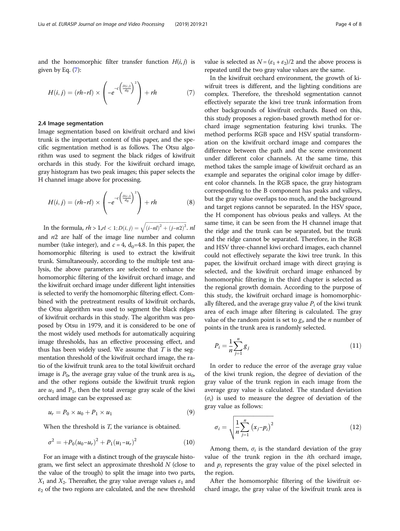and the homomorphic filter transfer function  $H(i, j)$  is given by Eq. (7):

$$
H(i,j) = (rh - rl) \times \left( -e^{-c\left(\frac{D(i,j)}{d_0}\right)^2} \right) + rh \tag{7}
$$

#### 2.4 Image segmentation

Image segmentation based on kiwifruit orchard and kiwi trunk is the important content of this paper, and the specific segmentation method is as follows. The Otsu algorithm was used to segment the black ridges of kiwifruit orchards in this study. For the kiwifruit orchard image, gray histogram has two peak images; this paper selects the H channel image above for processing.

$$
H(i,j) = (rh-rl) \times \left( -e^{-c\left(\frac{D(i,j)}{d_0}\right)^2} \right) + rh \tag{8}
$$

In the formula,  $rh > 1, rl < 1; D(i, j) = \sqrt{(i-nl)^2 + (j-n2)^2}$ . nl and  $n2$  are half of the image line number and column number (take integer), and  $c = 4$ ,  $d_0 = 4.8$ . In this paper, the homomorphic filtering is used to extract the kiwifruit trunk. Simultaneously, according to the multiple test analysis, the above parameters are selected to enhance the homomorphic filtering of the kiwifruit orchard image, and the kiwifruit orchard image under different light intensities is selected to verify the homomorphic filtering effect. Combined with the pretreatment results of kiwifruit orchards, the Otsu algorithm was used to segment the black ridges of kiwifruit orchards in this study. The algorithm was proposed by Otsu in 1979, and it is considered to be one of the most widely used methods for automatically acquiring image thresholds, has an effective processing effect, and thus has been widely used. We assume that  $T$  is the segmentation threshold of the kiwifruit orchard image, the ratio of the kiwifruit trunk area to the total kiwifruit orchard image is  $P_0$ , the average gray value of the trunk area is  $u_0$ , and the other regions outside the kiwifruit trunk region are  $u_1$  and  $P_1$ , then the total average gray scale of the kiwi orchard image can be expressed as:

$$
u_r = P_0 \times u_0 + P_1 \times u_1 \tag{9}
$$

When the threshold is T, the variance is obtained.

$$
\sigma^2 = +P_0(u_0 - u_r)^2 + P_1(u_1 - u_r)^2 \tag{10}
$$

For an image with a distinct trough of the grayscale histogram, we first select an approximate threshold  $N$  (close to the value of the trough) to split the image into two parts,  $X_1$  and  $X_2$ . Thereafter, the gray value average values  $\varepsilon_1$  and  $\varepsilon_2$  of the two regions are calculated, and the new threshold value is selected as  $N = (\varepsilon_1 + \varepsilon_2)/2$  and the above process is repeated until the two gray value values are the same.

In the kiwifruit orchard environment, the growth of kiwifruit trees is different, and the lighting conditions are complex. Therefore, the threshold segmentation cannot effectively separate the kiwi tree trunk information from other backgrounds of kiwifruit orchards. Based on this, this study proposes a region-based growth method for orchard image segmentation featuring kiwi trunks. The method performs RGB space and HSV spatial transformation on the kiwifruit orchard image and compares the difference between the path and the scene environment under different color channels. At the same time, this method takes the sample image of kiwifruit orchard as an example and separates the original color image by different color channels. In the RGB space, the gray histogram corresponding to the B component has peaks and valleys, but the gray value overlaps too much, and the background and target regions cannot be separated. In the HSV space, the H component has obvious peaks and valleys. At the same time, it can be seen from the H channel image that the ridge and the trunk can be separated, but the trunk and the ridge cannot be separated. Therefore, in the RGB and HSV three-channel kiwi orchard images, each channel could not effectively separate the kiwi tree trunk. In this paper, the kiwifruit orchard image with direct graying is selected, and the kiwifruit orchard image enhanced by homomorphic filtering in the third chapter is selected as the regional growth domain. According to the purpose of this study, the kiwifruit orchard image is homomorphically filtered, and the average gray value  $P_i$  of the kiwi trunk area of each image after filtering is calculated. The gray value of the random point is set to  $g_i$ , and the *n* number of points in the trunk area is randomly selected.

$$
P_i = \frac{1}{n} \sum_{j=1}^{n} g_j
$$
 (11)

In order to reduce the error of the average gray value of the kiwi trunk region, the degree of deviation of the gray value of the trunk region in each image from the average gray value is calculated. The standard deviation  $(\sigma_i)$  is used to measure the degree of deviation of the gray value as follows:

$$
\sigma_i = \sqrt{\frac{1}{n} \sum_{j=1}^{n} (x_j - p_i)^2}
$$
\n(12)

Among them,  $\sigma_i$  is the standard deviation of the gray value of the trunk region in the ith orchard image, and  $p_i$  represents the gray value of the pixel selected in the region.

After the homomorphic filtering of the kiwifruit orchard image, the gray value of the kiwifruit trunk area is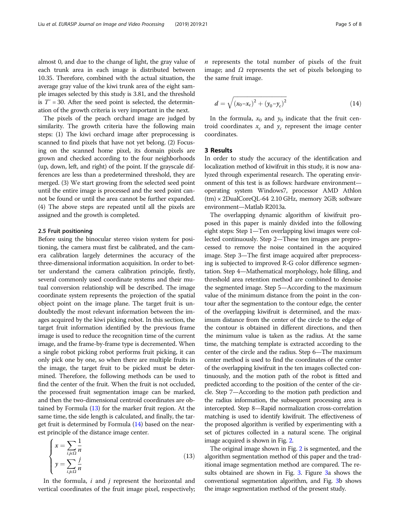almost 0, and due to the change of light, the gray value of each trunk area in each image is distributed between 10.35. Therefore, combined with the actual situation, the average gray value of the kiwi trunk area of the eight sample images selected by this study is 3.81, and the threshold is  $T' = 30$ . After the seed point is selected, the determination of the growth criteria is very important in the next.

The pixels of the peach orchard image are judged by similarity. The growth criteria have the following main steps: (1) The kiwi orchard image after preprocessing is scanned to find pixels that have not yet belong. (2) Focusing on the scanned home pixel, its domain pixels are grown and checked according to the four neighborhoods (up, down, left, and right) of the point. If the grayscale differences are less than a predetermined threshold, they are merged. (3) We start growing from the selected seed point until the entire image is processed and the seed point cannot be found or until the area cannot be further expanded. (4) The above steps are repeated until all the pixels are assigned and the growth is completed.

#### 2.5 Fruit positioning

Before using the binocular stereo vision system for positioning, the camera must first be calibrated, and the camera calibration largely determines the accuracy of the three-dimensional information acquisition. In order to better understand the camera calibration principle, firstly, several commonly used coordinate systems and their mutual conversion relationship will be described. The image coordinate system represents the projection of the spatial object point on the image plane. The target fruit is undoubtedly the most relevant information between the images acquired by the kiwi picking robot. In this section, the target fruit information identified by the previous frame image is used to reduce the recognition time of the current image, and the frame-by-frame type is decremented. When a single robot picking robot performs fruit picking, it can only pick one by one, so when there are multiple fruits in the image, the target fruit to be picked must be determined. Therefore, the following methods can be used to find the center of the fruit. When the fruit is not occluded, the processed fruit segmentation image can be marked, and then the two-dimensional centroid coordinates are obtained by Formula (13) for the marker fruit region. At the same time, the side length is calculated, and finally, the target fruit is determined by Formula (14) based on the nearest principle of the distance image center.

$$
\begin{cases}\n x = \sum_{i,j\in\Omega} \frac{1}{n} \\
y = \sum_{i,j\in\Omega} \frac{j}{n}\n\end{cases}
$$
\n(13)

In the formula,  $i$  and  $j$  represent the horizontal and vertical coordinates of the fruit image pixel, respectively;  $n$  represents the total number of pixels of the fruit image; and Ω represents the set of pixels belonging to the same fruit image.

$$
d = \sqrt{(x_0 - x_c)^2 + (y_0 - y_c)^2}
$$
 (14)

In the formula,  $x_0$  and  $y_0$  indicate that the fruit centroid coordinates  $x_c$  and  $y_c$  represent the image center coordinates.

#### 3 Results

In order to study the accuracy of the identification and localization method of kiwifruit in this study, it is now analyzed through experimental research. The operating environment of this test is as follows: hardware environment operating system Windows7, processor AMD Athlon (tm) × 2DualCoreQL-64 2.10 GHz, memory 2GB; software environment—Matlab R2013a.

The overlapping dynamic algorithm of kiwifruit proposed in this paper is mainly divided into the following eight steps: Step 1—Ten overlapping kiwi images were collected continuously. Step 2—These ten images are preprocessed to remove the noise contained in the acquired image. Step 3—The first image acquired after preprocessing is subjected to improved R-G color difference segmentation. Step 4—Mathematical morphology, hole filling, and threshold area retention method are combined to denoise the segmented image. Step 5—According to the maximum value of the minimum distance from the point in the contour after the segmentation to the contour edge, the center of the overlapping kiwifruit is determined, and the maximum distance from the center of the circle to the edge of the contour is obtained in different directions, and then the minimum value is taken as the radius. At the same time, the matching template is extracted according to the center of the circle and the radius. Step 6—The maximum center method is used to find the coordinates of the center of the overlapping kiwifruit in the ten images collected continuously, and the motion path of the robot is fitted and predicted according to the position of the center of the circle. Step 7—According to the motion path prediction and the radius information, the subsequent processing area is intercepted. Step 8—Rapid normalization cross-correlation matching is used to identify kiwifruit. The effectiveness of the proposed algorithm is verified by experimenting with a set of pictures collected in a natural scene. The original image acquired is shown in Fig. [2](#page-5-0).

The original image shown in Fig. [2](#page-5-0) is segmented, and the algorithm segmentation method of this paper and the traditional image segmentation method are compared. The results obtained are shown in Fig. [3.](#page-5-0) Figure [3a](#page-5-0) shows the conventional segmentation algorithm, and Fig. [3b](#page-5-0) shows the image segmentation method of the present study.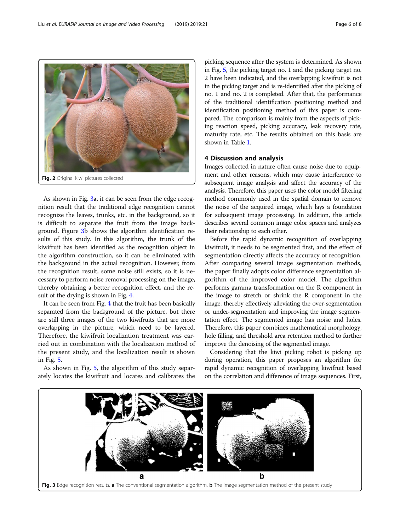As shown in Fig. 3a, it can be seen from the edge recognition result that the traditional edge recognition cannot recognize the leaves, trunks, etc. in the background, so it is difficult to separate the fruit from the image background. Figure 3b shows the algorithm identification results of this study. In this algorithm, the trunk of the kiwifruit has been identified as the recognition object in the algorithm construction, so it can be eliminated with the background in the actual recognition. However, from the recognition result, some noise still exists, so it is necessary to perform noise removal processing on the image, thereby obtaining a better recognition effect, and the result of the drying is shown in Fig. [4](#page-6-0).

<span id="page-5-0"></span>Fig. 2 Original kiwi pictures collected

It can be seen from Fig. [4](#page-6-0) that the fruit has been basically separated from the background of the picture, but there are still three images of the two kiwifruits that are more overlapping in the picture, which need to be layered. Therefore, the kiwifruit localization treatment was carried out in combination with the localization method of the present study, and the localization result is shown in Fig. [5.](#page-6-0)

As shown in Fig. [5](#page-6-0), the algorithm of this study separately locates the kiwifruit and locates and calibrates the picking sequence after the system is determined. As shown in Fig. [5,](#page-6-0) the picking target no. 1 and the picking target no. 2 have been indicated, and the overlapping kiwifruit is not in the picking target and is re-identified after the picking of no. 1 and no. 2 is completed. After that, the performance of the traditional identification positioning method and identification positioning method of this paper is compared. The comparison is mainly from the aspects of picking reaction speed, picking accuracy, leak recovery rate, maturity rate, etc. The results obtained on this basis are shown in Table [1](#page-6-0).

#### 4 Discussion and analysis

Images collected in nature often cause noise due to equipment and other reasons, which may cause interference to subsequent image analysis and affect the accuracy of the analysis. Therefore, this paper uses the color model filtering method commonly used in the spatial domain to remove the noise of the acquired image, which lays a foundation for subsequent image processing. In addition, this article describes several common image color spaces and analyzes their relationship to each other.

Before the rapid dynamic recognition of overlapping kiwifruit, it needs to be segmented first, and the effect of segmentation directly affects the accuracy of recognition. After comparing several image segmentation methods, the paper finally adopts color difference segmentation algorithm of the improved color model. The algorithm performs gamma transformation on the R component in the image to stretch or shrink the R component in the image, thereby effectively alleviating the over-segmentation or under-segmentation and improving the image segmentation effect. The segmented image has noise and holes. Therefore, this paper combines mathematical morphology, hole filling, and threshold area retention method to further improve the denoising of the segmented image.

Considering that the kiwi picking robot is picking up during operation, this paper proposes an algorithm for rapid dynamic recognition of overlapping kiwifruit based on the correlation and difference of image sequences. First,

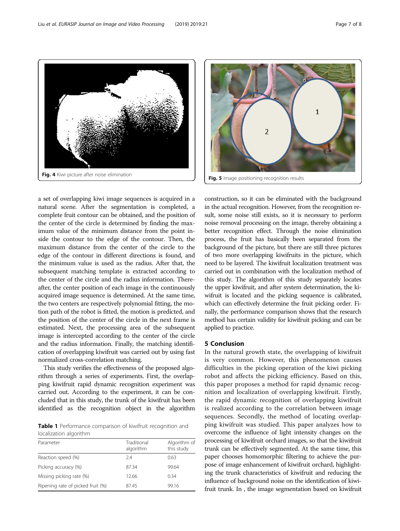a set of overlapping kiwi image sequences is acquired in a natural scene. After the segmentation is completed, a complete fruit contour can be obtained, and the position of the center of the circle is determined by finding the maximum value of the minimum distance from the point inside the contour to the edge of the contour. Then, the maximum distance from the center of the circle to the edge of the contour in different directions is found, and the minimum value is used as the radius. After that, the subsequent matching template is extracted according to the center of the circle and the radius information. Thereafter, the center position of each image in the continuously acquired image sequence is determined. At the same time, the two centers are respectively polynomial fitting, the motion path of the robot is fitted, the motion is predicted, and the position of the center of the circle in the next frame is estimated. Next, the processing area of the subsequent image is intercepted according to the center of the circle and the radius information. Finally, the matching identification of overlapping kiwifruit was carried out by using fast normalized cross-correlation matching.

This study verifies the effectiveness of the proposed algorithm through a series of experiments. First, the overlapping kiwifruit rapid dynamic recognition experiment was carried out. According to the experiment, it can be concluded that in this study, the trunk of the kiwifruit has been identified as the recognition object in the algorithm

Table 1 Performance comparison of kiwifruit recognition and localization algorithm

| Parameter                         | Traditional<br>algorithm | Algorithm of<br>this study |
|-----------------------------------|--------------------------|----------------------------|
| Reaction speed (%)                | 74                       | 0.63                       |
| Picking accuracy (%)              | 87.34                    | 99.64                      |
| Missing picking rate (%)          | 12.66                    | 0.34                       |
| Ripening rate of picked fruit (%) | 8745                     | 99.16                      |

construction, so it can be eliminated with the background in the actual recognition. However, from the recognition result, some noise still exists, so it is necessary to perform noise removal processing on the image, thereby obtaining a better recognition effect. Through the noise elimination process, the fruit has basically been separated from the background of the picture, but there are still three pictures of two more overlapping kiwifruits in the picture, which need to be layered. The kiwifruit localization treatment was carried out in combination with the localization method of this study. The algorithm of this study separately locates the upper kiwifruit, and after system determination, the kiwifruit is located and the picking sequence is calibrated, which can effectively determine the fruit picking order. Finally, the performance comparison shows that the research method has certain validity for kiwifruit picking and can be applied to practice.

#### 5 Conclusion

In the natural growth state, the overlapping of kiwifruit is very common. However, this phenomenon causes difficulties in the picking operation of the kiwi picking robot and affects the picking efficiency. Based on this, this paper proposes a method for rapid dynamic recognition and localization of overlapping kiwifruit. Firstly, the rapid dynamic recognition of overlapping kiwifruit is realized according to the correlation between image sequences. Secondly, the method of locating overlapping kiwifruit was studied. This paper analyzes how to overcome the influence of light intensity changes on the processing of kiwifruit orchard images, so that the kiwifruit trunk can be effectively segmented. At the same time, this paper chooses homomorphic filtering to achieve the purpose of image enhancement of kiwifruit orchard, highlighting the trunk characteristics of kiwifruit and reducing the influence of background noise on the identification of kiwifruit trunk. In , the image segmentation based on kiwifruit

<span id="page-6-0"></span>Fig. 4 Kiwi picture after noise elimination Fig. 5 Image positioning recognition results